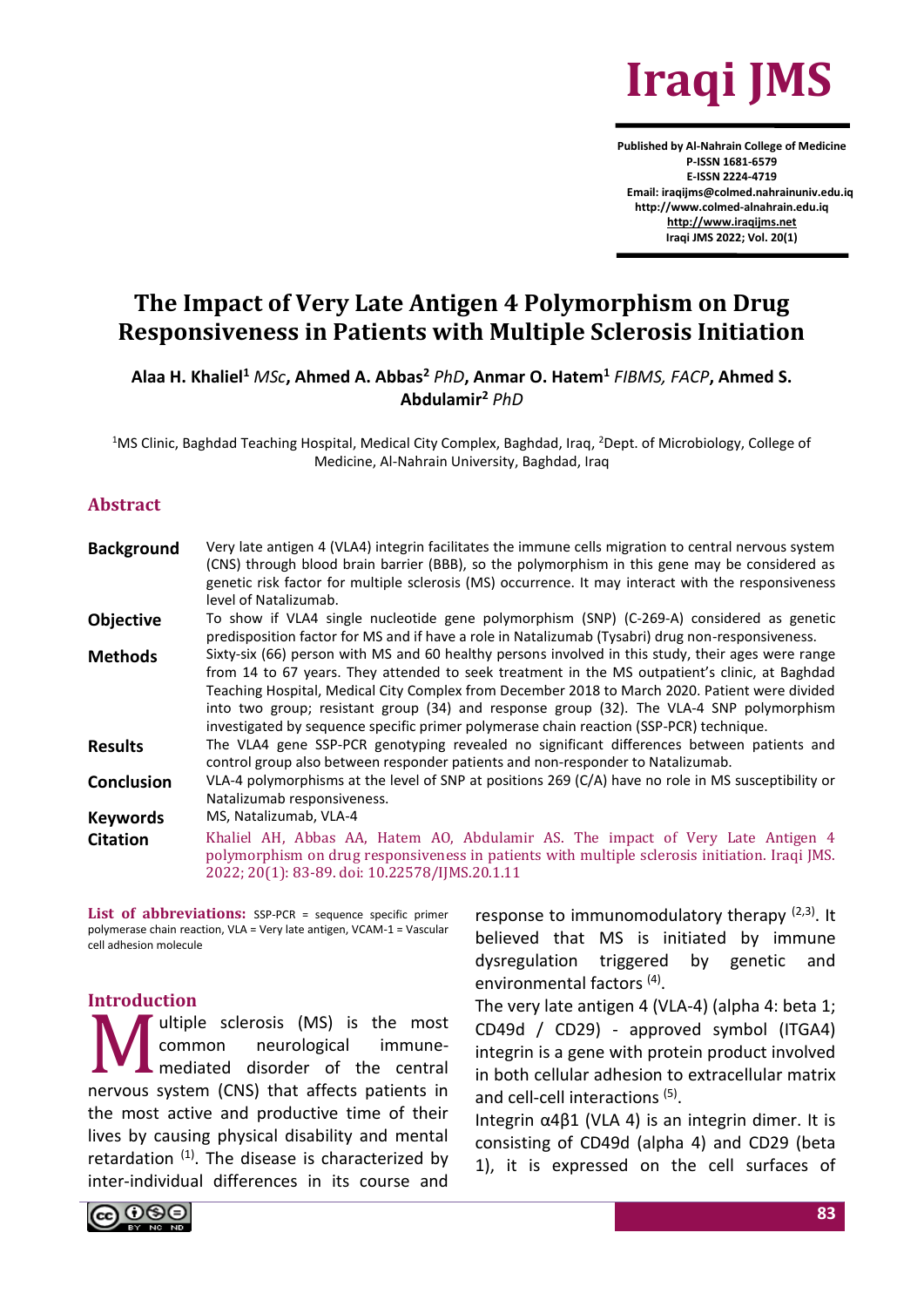

**Published by Al-Nahrain College of Medicine P-ISSN 1681-6579 E-ISSN 2224-4719 Email: iraqijms@colmed.nahrainuniv.edu.iq http://www.colmed-alnahrain.edu.iq [http://www.iraqijms.net](http://www.iraqijms.net/) Iraqi JMS 2022; Vol. 20(1)**

# **The Impact of Very Late Antigen 4 Polymorphism on Drug Responsiveness in Patients with Multiple Sclerosis Initiation**

**Alaa H. Khaliel<sup>1</sup>** *MSc***, Ahmed A. Abbas<sup>2</sup>** *PhD***, Anmar O. Hatem<sup>1</sup>** *FIBMS, FACP***, Ahmed S. Abdulamir<sup>2</sup>** *PhD*

<sup>1</sup>MS Clinic, Baghdad Teaching Hospital, Medical City Complex, Baghdad, Iraq, <sup>2</sup>Dept. of Microbiology, College of Medicine, Al-Nahrain University, Baghdad, Iraq

#### **Abstract**

| <b>Background</b> | Very late antigen 4 (VLA4) integrin facilitates the immune cells migration to central nervous system<br>(CNS) through blood brain barrier (BBB), so the polymorphism in this gene may be considered as<br>genetic risk factor for multiple sclerosis (MS) occurrence. It may interact with the responsiveness<br>level of Natalizumab.                                                                                                                                                        |
|-------------------|-----------------------------------------------------------------------------------------------------------------------------------------------------------------------------------------------------------------------------------------------------------------------------------------------------------------------------------------------------------------------------------------------------------------------------------------------------------------------------------------------|
| <b>Objective</b>  | To show if VLA4 single nucleotide gene polymorphism (SNP) (C-269-A) considered as genetic<br>predisposition factor for MS and if have a role in Natalizumab (Tysabri) drug non-responsiveness.                                                                                                                                                                                                                                                                                                |
| <b>Methods</b>    | Sixty-six (66) person with MS and 60 healthy persons involved in this study, their ages were range<br>from 14 to 67 years. They attended to seek treatment in the MS outpatient's clinic, at Baghdad<br>Teaching Hospital, Medical City Complex from December 2018 to March 2020. Patient were divided<br>into two group; resistant group (34) and response group (32). The VLA-4 SNP polymorphism<br>investigated by sequence specific primer polymerase chain reaction (SSP-PCR) technique. |
| <b>Results</b>    | The VLA4 gene SSP-PCR genotyping revealed no significant differences between patients and<br>control group also between responder patients and non-responder to Natalizumab.                                                                                                                                                                                                                                                                                                                  |
| <b>Conclusion</b> | VLA-4 polymorphisms at the level of SNP at positions 269 (C/A) have no role in MS susceptibility or<br>Natalizumab responsiveness.                                                                                                                                                                                                                                                                                                                                                            |
| <b>Keywords</b>   | MS, Natalizumab, VLA-4                                                                                                                                                                                                                                                                                                                                                                                                                                                                        |
| <b>Citation</b>   | Khaliel AH, Abbas AA, Hatem AO, Abdulamir AS. The impact of Very Late Antigen 4<br>polymorphism on drug responsiveness in patients with multiple sclerosis initiation. Iraqi JMS.<br>2022; 20(1): 83-89. doi: 10.22578/IJMS.20.1.11                                                                                                                                                                                                                                                           |

**List of abbreviations:** SSP-PCR = sequence specific primer polymerase chain reaction, VLA = Very late antigen, VCAM-1 = Vascular cell adhesion molecule

#### **Introduction**

ultiple sclerosis (MS) is the most common neurological immunemediated disorder of the central nervous system (CNS) that affects patients in the most active and productive time of their lives by causing physical disability and mental retardation  $(1)$ . The disease is characterized by inter-individual differences in its course and M<sub>N</sub>

response to immunomodulatory therapy  $(2,3)$ . It believed that MS is initiated by immune dysregulation triggered by genetic and environmental factors<sup>(4)</sup>.

The very late antigen 4 (VLA-4) (alpha 4: beta 1; CD49d / CD29) - approved symbol (ITGA4) integrin is a gene with protein product involved in both cellular adhesion to extracellular matrix and cell-cell interactions (5).

Integrin  $α4β1$  (VLA 4) is an integrin dimer. It is consisting of CD49d (alpha 4) and CD29 (beta 1), it is expressed on the cell surfaces of

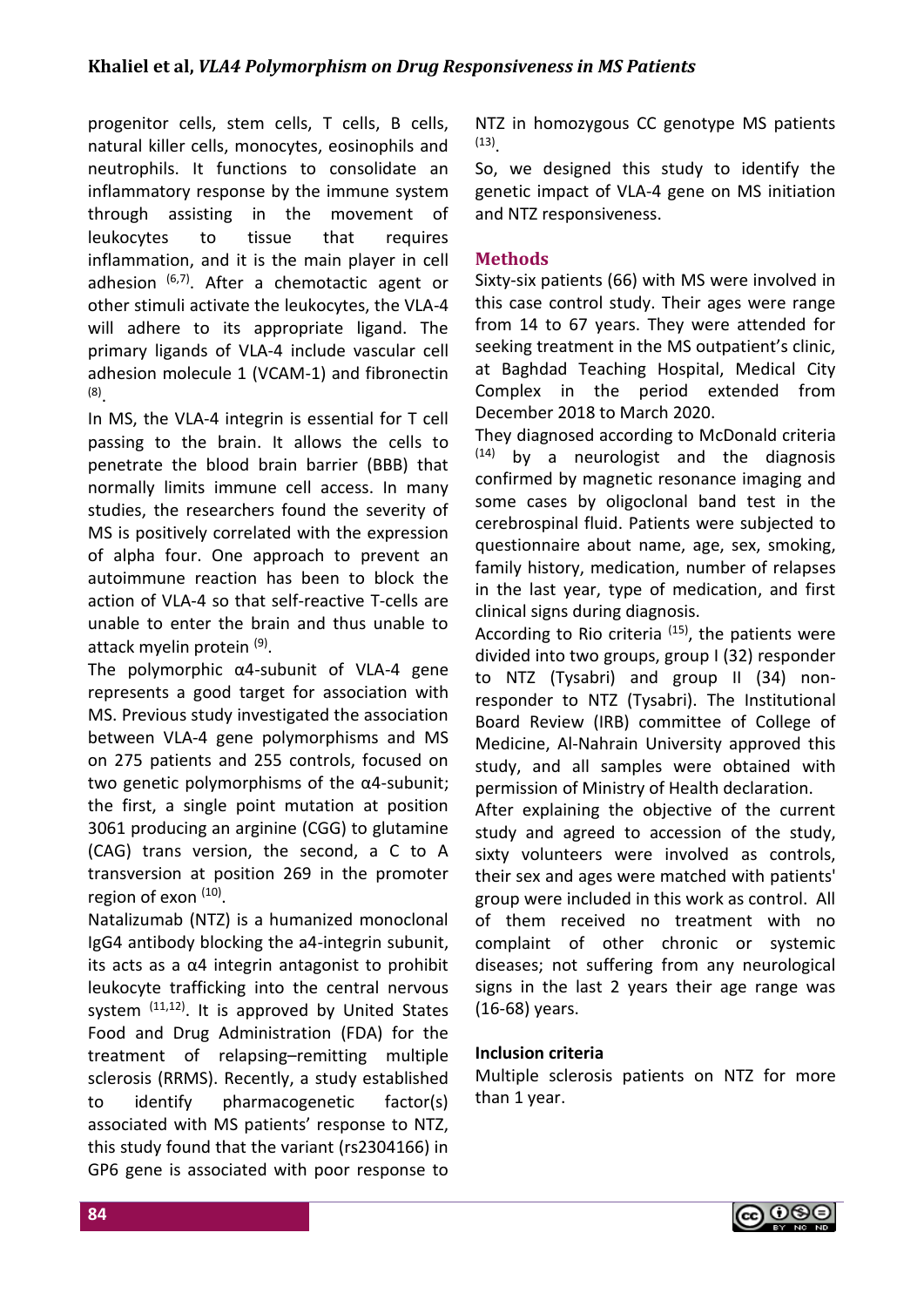progenitor cells, stem cells, T cells, B cells, natural killer cells, monocytes, eosinophils and neutrophils. It functions to consolidate an inflammatory response by the immune system through assisting in the movement of leukocytes to tissue that requires inflammation, and it is the main player in cell adhesion  $(6,7)$ . After a chemotactic agent or other stimuli activate the leukocytes, the VLA-4 will adhere to its appropriate ligand. The primary ligands of VLA-4 include vascular cell adhesion molecule 1 (VCAM-1) and fibronectin (8) .

In MS, the VLA-4 integrin is essential for T cell passing to the brain. It allows the cells to penetrate the blood brain barrier (BBB) that normally limits immune cell access. In many studies, the researchers found the severity of MS is positively correlated with the expression of alpha four. One approach to prevent an autoimmune reaction has been to block the action of VLA-4 so that self-reactive T-cells are unable to enter the brain and thus unable to attack myelin protein <sup>(9)</sup>.

The polymorphic α4-subunit of VLA-4 gene represents a good target for association with MS. Previous study investigated the association between VLA-4 gene polymorphisms and MS on 275 patients and 255 controls, focused on two genetic polymorphisms of the α4-subunit; the first, a single point mutation at position 3061 producing an arginine (CGG) to glutamine (CAG) trans version, the second, a C to A transversion at position 269 in the promoter region of exon (10).

Natalizumab (NTZ) is a humanized monoclonal IgG4 antibody blocking the a4-integrin subunit, its acts as a  $\alpha$ 4 integrin antagonist to prohibit leukocyte trafficking into the central nervous system <sup>(11,12)</sup>. It is approved by United States Food and Drug Administration (FDA) for the treatment of relapsing–remitting multiple sclerosis (RRMS). Recently, a study established to identify pharmacogenetic factor(s) associated with MS patients' response to NTZ, this study found that the variant (rs2304166) in GP6 gene is associated with poor response to NTZ in homozygous CC genotype MS patients (13) .

So, we designed this study to identify the genetic impact of VLA-4 gene on MS initiation and NTZ responsiveness.

# **Methods**

Sixty-six patients (66) with MS were involved in this case control study. Their ages were range from 14 to 67 years. They were attended for seeking treatment in the MS outpatient's clinic, at Baghdad Teaching Hospital, Medical City Complex in the period extended from December 2018 to March 2020.

They diagnosed according to McDonald criteria  $(14)$  by a neurologist and the diagnosis confirmed by magnetic resonance imaging and some cases by oligoclonal band test in the cerebrospinal fluid. Patients were subjected to questionnaire about name, age, sex, smoking, family history, medication, number of relapses in the last year, type of medication, and first clinical signs during diagnosis.

According to Rio criteria  $(15)$ , the patients were divided into two groups, group I (32) responder to NTZ (Tysabri) and group II (34) nonresponder to NTZ (Tysabri). The Institutional Board Review (IRB) committee of College of Medicine, Al-Nahrain University approved this study, and all samples were obtained with permission of Ministry of Health declaration.

After explaining the objective of the current study and agreed to accession of the study, sixty volunteers were involved as controls, their sex and ages were matched with patients' group were included in this work as control. All of them received no treatment with no complaint of other chronic or systemic diseases; not suffering from any neurological signs in the last 2 years their age range was (16-68) years.

### **Inclusion criteria**

Multiple sclerosis patients on NTZ for more than 1 year.

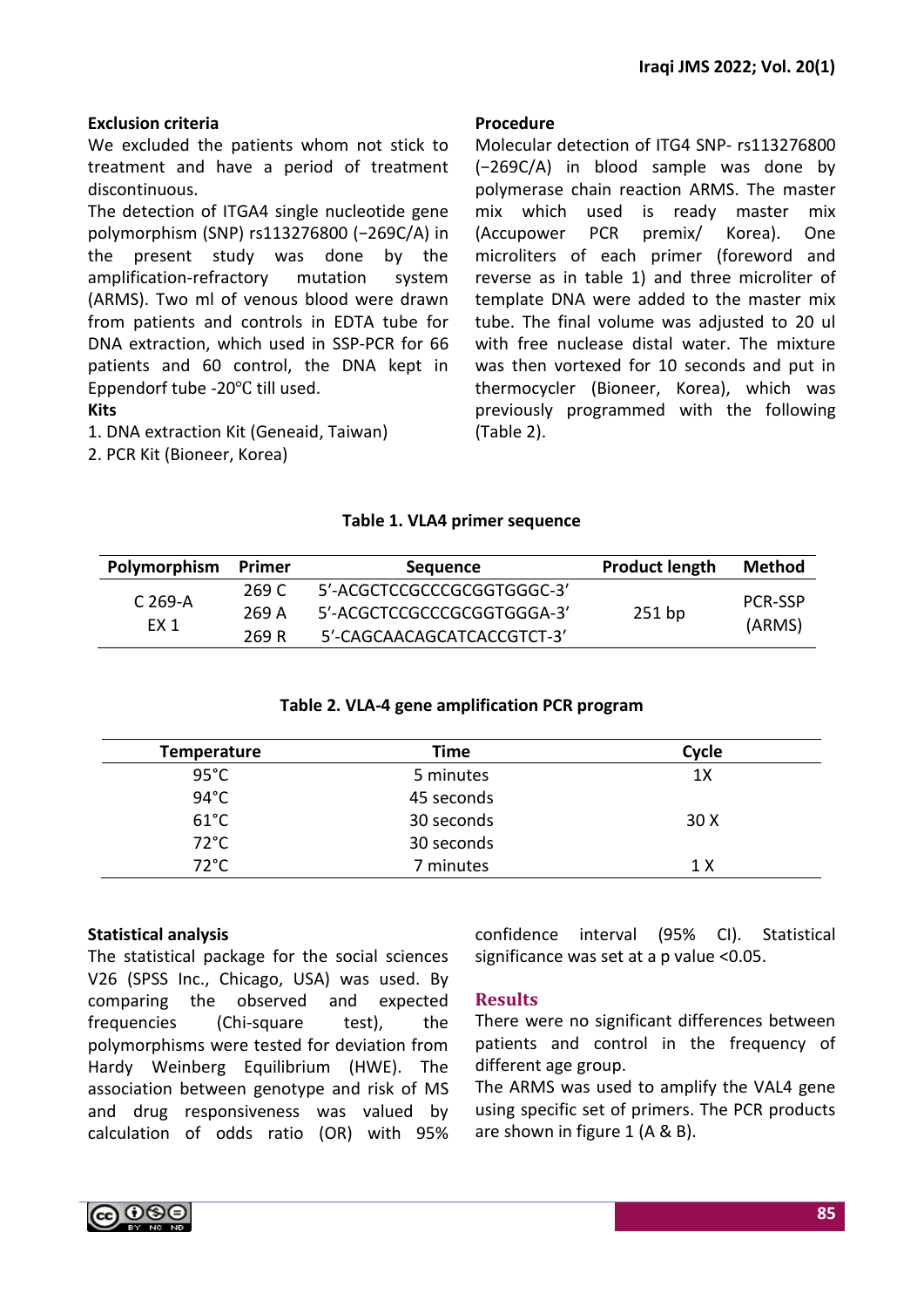# **Exclusion criteria**

We excluded the patients whom not stick to treatment and have a period of treatment discontinuous.

The detection of ITGA4 single nucleotide gene polymorphism (SNP) rs113276800 (−269C/A) in the present study was done by the amplification-refractory mutation system (ARMS). Two ml of venous blood were drawn from patients and controls in EDTA tube for DNA extraction, which used in SSP-PCR for 66 patients and 60 control, the DNA kept in Eppendorf tube -20℃ till used.

**Kits**

1. DNA extraction Kit (Geneaid, Taiwan) 2. PCR Kit (Bioneer, Korea)

#### **Procedure**

Molecular detection of ITG4 SNP- rs113276800 (−269C/A) in blood sample was done by polymerase chain reaction ARMS. The master mix which used is ready master mix (Accupower PCR premix/ Korea). One microliters of each primer (foreword and reverse as in table 1) and three microliter of template DNA were added to the master mix tube. The final volume was adjusted to 20 ul with free nuclease distal water. The mixture was then vortexed for 10 seconds and put in thermocycler (Bioneer, Korea), which was previously programmed with the following (Table 2).

## **Table 1. VLA4 primer sequence**

| Polymorphism    | Primer | <b>Sequence</b>            | <b>Product length</b> | <b>Method</b>  |
|-----------------|--------|----------------------------|-----------------------|----------------|
|                 | 269 C  | 5'-ACGCTCCGCCCGCGGTGGGC-3' |                       | <b>PCR-SSP</b> |
| $C269-A$        | 269 A  | 5'-ACGCTCCGCCCGCGGTGGGA-3' | $251$ bp              |                |
| FX <sub>1</sub> | 269 R  | 5'-CAGCAACAGCATCACCGTCT-3' |                       | (ARMS)         |

### **Table 2. VLA-4 gene amplification PCR program**

| <b>Temperature</b> | Time       | Cycle |
|--------------------|------------|-------|
| $95^{\circ}$ C     | 5 minutes  | 1X    |
| $94^{\circ}$ C     | 45 seconds |       |
| $61^{\circ}$ C     | 30 seconds | 30X   |
| $72^{\circ}$ C     | 30 seconds |       |
| 72°C               | 7 minutes  | 1 X   |

### **Statistical analysis**

The statistical package for the social sciences V26 (SPSS Inc., Chicago, USA) was used. By comparing the observed and expected frequencies (Chi-square test), the polymorphisms were tested for deviation from Hardy Weinberg Equilibrium (HWE). The association between genotype and risk of MS and drug responsiveness was valued by calculation of odds ratio (OR) with 95% confidence interval (95% CI). Statistical significance was set at a p value <0.05.

### **Results**

There were no significant differences between patients and control in the frequency of different age group.

The ARMS was used to amplify the VAL4 gene using specific set of primers. The PCR products are shown in figure 1 (A & B).

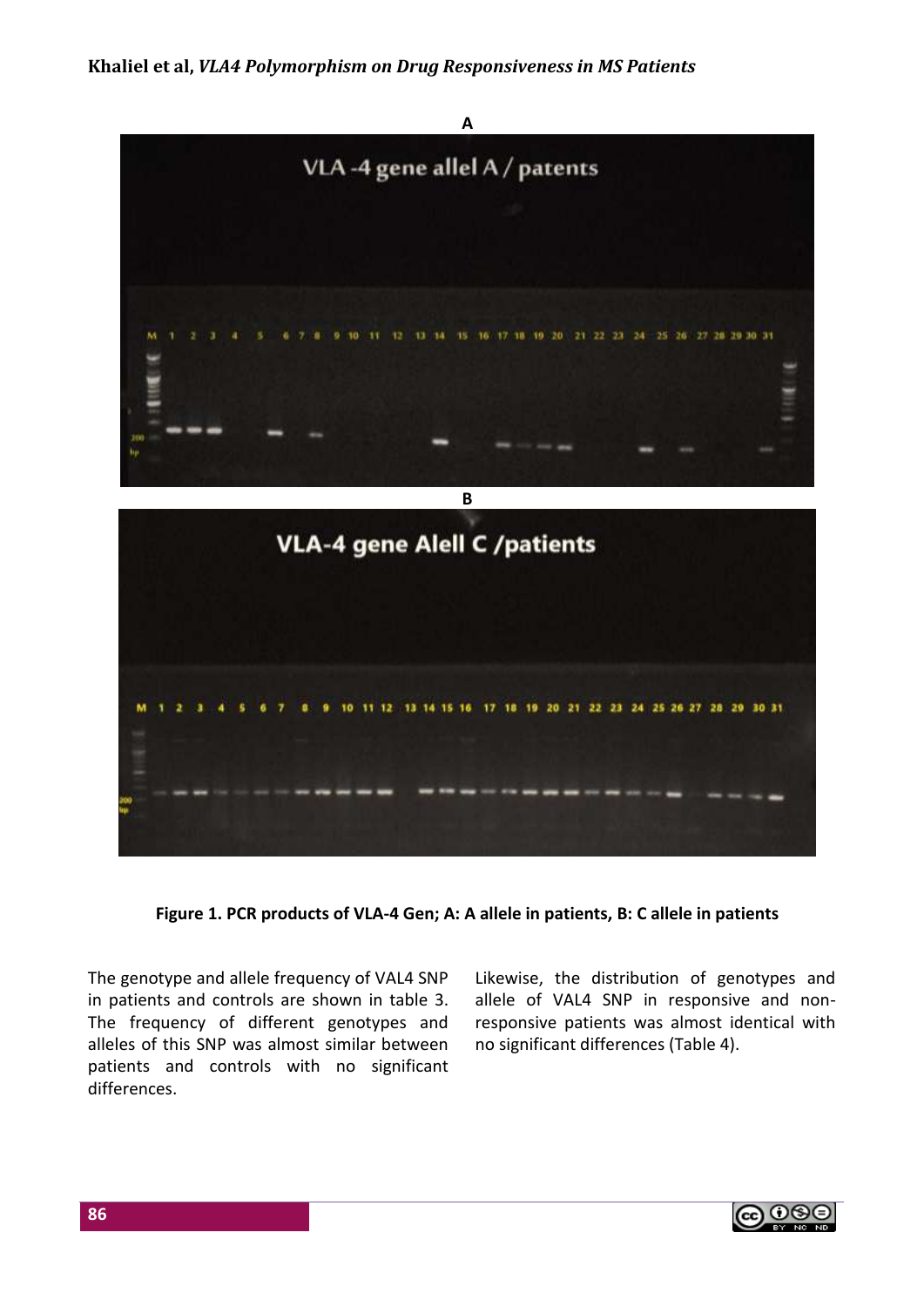**Khaliel et al,** *VLA4 Polymorphism on Drug Responsiveness in MS Patients*



**Figure 1. PCR products of VLA-4 Gen; A: A allele in patients, B: C allele in patients**

The genotype and allele frequency of VAL4 SNP in patients and controls are shown in table 3. The frequency of different genotypes and alleles of this SNP was almost similar between patients and controls with no significant differences.

Likewise, the distribution of genotypes and allele of VAL4 SNP in responsive and nonresponsive patients was almost identical with no significant differences (Table 4).

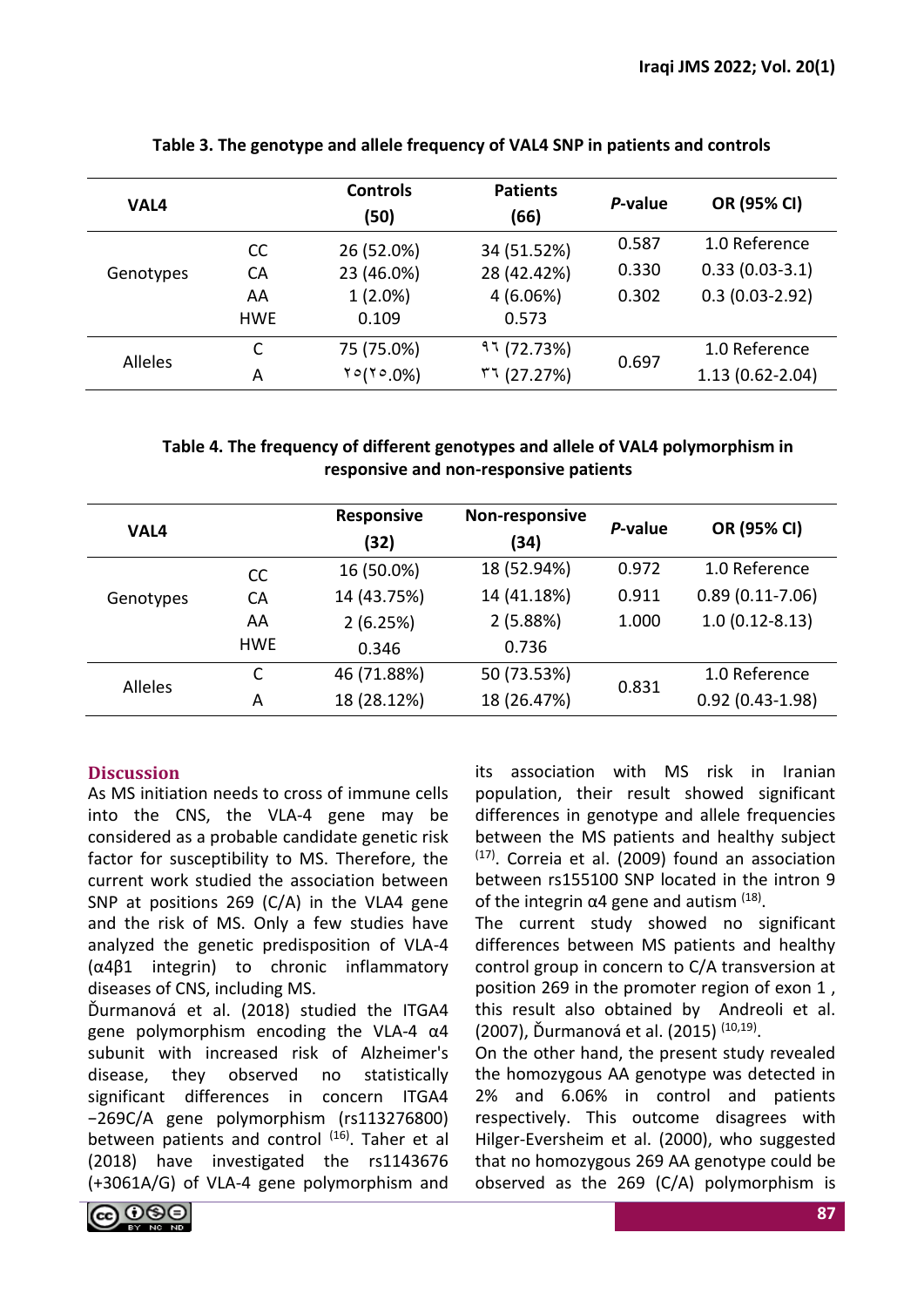| VAL4      |            | <b>Controls</b><br>(50) | <b>Patients</b><br>(66) | P-value | OR (95% CI)         |
|-----------|------------|-------------------------|-------------------------|---------|---------------------|
|           | <b>CC</b>  | 26 (52.0%)              | 34 (51.52%)             | 0.587   | 1.0 Reference       |
| Genotypes | CA         | 23 (46.0%)              | 28 (42.42%)             | 0.330   | $0.33(0.03-3.1)$    |
|           | AA         | $1(2.0\%)$              | 4(6.06%)                | 0.302   | $0.3(0.03-2.92)$    |
|           | <b>HWE</b> | 0.109                   | 0.573                   |         |                     |
| Alleles   |            | 75 (75.0%)              | 97(72.73%)              |         | 1.0 Reference       |
|           | А          | $10(10.0\%)$            | 51(27.27%)              | 0.697   | $1.13(0.62 - 2.04)$ |

# **Table 3. The genotype and allele frequency of VAL4 SNP in patients and controls**

# **Table 4. The frequency of different genotypes and allele of VAL4 polymorphism in responsive and non-responsive patients**

| VAL4           |               | <b>Responsive</b><br>(32) | Non-responsive<br>(34) | P-value | OR (95% CI)         |
|----------------|---------------|---------------------------|------------------------|---------|---------------------|
|                | <sub>CC</sub> | 16 (50.0%)                | 18 (52.94%)            | 0.972   | 1.0 Reference       |
| Genotypes      | <b>CA</b>     | 14 (43.75%)               | 14 (41.18%)            | 0.911   | $0.89(0.11-7.06)$   |
|                | AA            | 2(6.25%)                  | 2(5.88%)               | 1.000   | $1.0(0.12 - 8.13)$  |
|                | <b>HWE</b>    | 0.346                     | 0.736                  |         |                     |
| <b>Alleles</b> | C             | 46 (71.88%)               | 50 (73.53%)            | 0.831   | 1.0 Reference       |
|                | A             | 18 (28.12%)               | 18 (26.47%)            |         | $0.92(0.43 - 1.98)$ |

# **Discussion**

As MS initiation needs to cross of immune cells into the CNS, the VLA-4 gene may be considered as a probable candidate genetic risk factor for susceptibility to MS. Therefore, the current work studied the association between SNP at positions 269 (C/A) in the VLA4 gene and the risk of MS. Only a few studies have analyzed the genetic predisposition of VLA-4 (α4β1 integrin) to chronic inflammatory diseases of CNS, including MS.

Ďurmanová et al. (2018) studied the ITGA4 gene polymorphism encoding the VLA-4 α4 subunit with increased risk of Alzheimer's disease, they observed no statistically significant differences in concern ITGA4 −269C/A gene polymorphism (rs113276800) between patients and control <sup>(16)</sup>. Taher et al (2018) have investigated the rs1143676 (+3061A/G) of VLA-4 gene polymorphism and its association with MS risk in Iranian population, their result showed significant differences in genotype and allele frequencies between the MS patients and healthy subject  $(17)$ . Correia et al. (2009) found an association between rs155100 SNP located in the intron 9 of the integrin  $\alpha$ 4 gene and autism  $(18)$ .

The current study showed no significant differences between MS patients and healthy control group in concern to C/A transversion at position 269 in the promoter region of exon 1 , this result also obtained by Andreoli et al. (2007), Ďurmanová et al. (2015) <sup>(10,19)</sup>.

On the other hand, the present study revealed the homozygous AA genotype was detected in 2% and 6.06% in control and patients respectively. This outcome disagrees with Hilger-Eversheim et al. (2000), who suggested that no homozygous 269 AA genotype could be observed as the 269 (C/A) polymorphism is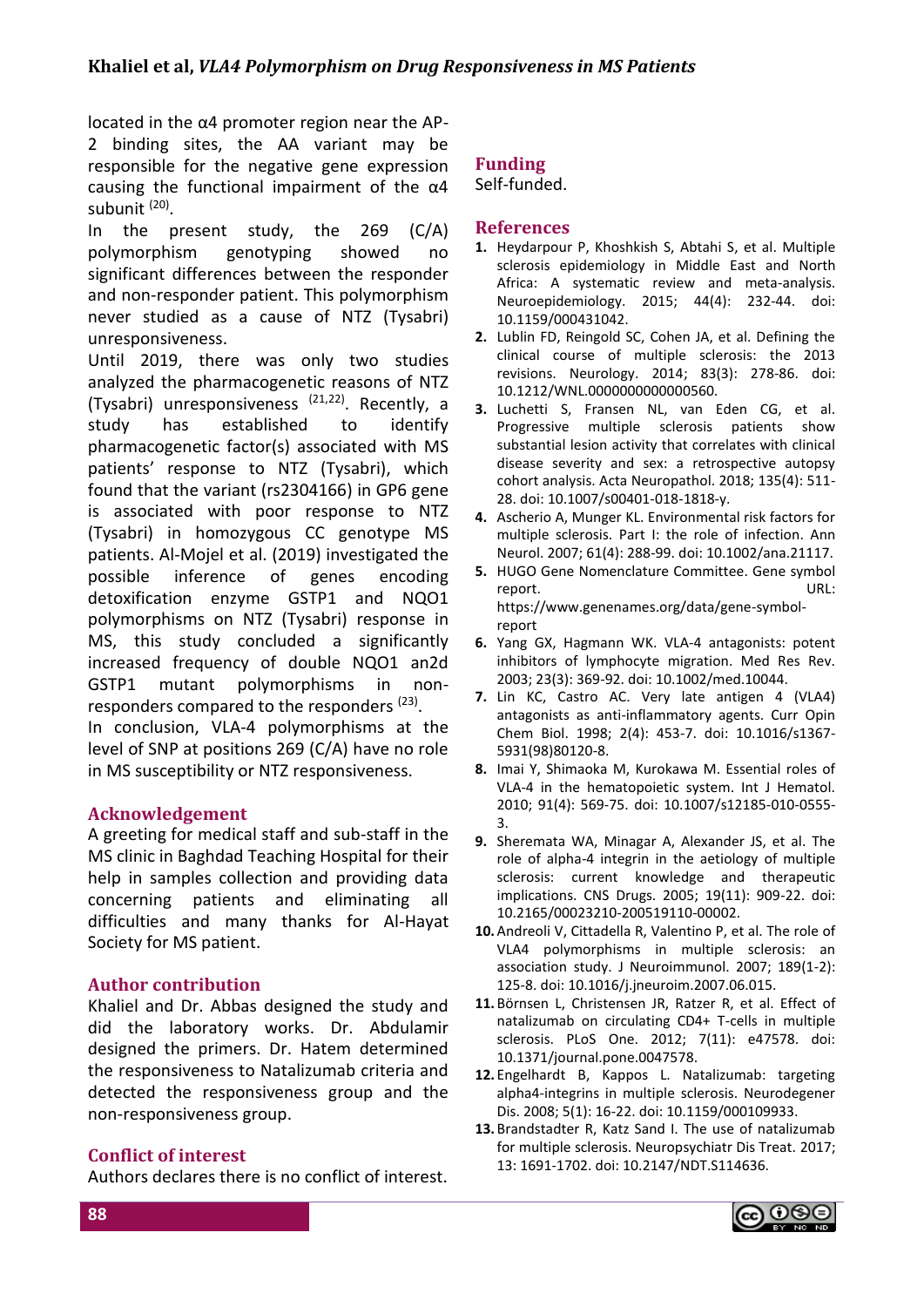located in the α4 promoter region near the AP-

2 binding sites, the AA variant may be responsible for the negative gene expression causing the functional impairment of the  $\alpha$ 4 subunit <sup>(20)</sup>.

In the present study, the 269 (C/A) polymorphism genotyping showed no significant differences between the responder and non-responder patient. This polymorphism never studied as a cause of NTZ (Tysabri) unresponsiveness.

Until 2019, there was only two studies analyzed the pharmacogenetic reasons of NTZ (Tysabri) unresponsiveness (21,22). Recently, a study has established to identify pharmacogenetic factor(s) associated with MS patients' response to NTZ (Tysabri), which found that the variant (rs2304166) in GP6 gene is associated with poor response to NTZ (Tysabri) in homozygous CC genotype MS patients. Al-Mojel et al. (2019) investigated the possible inference of genes encoding detoxification enzyme GSTP1 and NQO1 polymorphisms on NTZ (Tysabri) response in MS, this study concluded a significantly increased frequency of double NQO1 an2d GSTP1 mutant polymorphisms in nonresponders compared to the responders <sup>(23)</sup>.

In conclusion, VLA-4 polymorphisms at the level of SNP at positions 269 (C/A) have no role in MS susceptibility or NTZ responsiveness.

### **Acknowledgement**

A greeting for medical staff and sub-staff in the MS clinic in Baghdad Teaching Hospital for their help in samples collection and providing data concerning patients and eliminating all difficulties and many thanks for Al-Hayat Society for MS patient.

#### **Author contribution**

Khaliel and Dr. Abbas designed the study and did the laboratory works. Dr. Abdulamir designed the primers. Dr. Hatem determined the responsiveness to Natalizumab criteria and detected the responsiveness group and the non-responsiveness group.

#### **Conflict of interest**

Authors declares there is no conflict of interest.

#### **Funding** Self-funded.

#### **References**

- **1.** Heydarpour P, Khoshkish S, Abtahi S, et al. Multiple sclerosis epidemiology in Middle East and North Africa: A systematic review and meta-analysis. Neuroepidemiology. 2015; 44(4): 232-44. doi: 10.1159/000431042.
- **2.** Lublin FD, Reingold SC, Cohen JA, et al. Defining the clinical course of multiple sclerosis: the 2013 revisions. Neurology. 2014; 83(3): 278-86. doi: 10.1212/WNL.0000000000000560.
- **3.** Luchetti S, Fransen NL, van Eden CG, et al. Progressive multiple sclerosis patients show substantial lesion activity that correlates with clinical disease severity and sex: a retrospective autopsy cohort analysis. Acta Neuropathol. 2018; 135(4): 511- 28. doi: 10.1007/s00401-018-1818-y.
- **4.** Ascherio A, Munger KL. Environmental risk factors for multiple sclerosis. Part I: the role of infection. Ann Neurol. 2007; 61(4): 288-99. doi: 10.1002/ana.21117.
- **5.** HUGO Gene Nomenclature Committee. Gene symbol report. URL: https://www.genenames.org/data/gene-symbolreport
- **6.** Yang GX, Hagmann WK. VLA-4 antagonists: potent inhibitors of lymphocyte migration. Med Res Rev. 2003; 23(3): 369-92. doi: 10.1002/med.10044.
- **7.** Lin KC, Castro AC. Very late antigen 4 (VLA4) antagonists as anti-inflammatory agents. Curr Opin Chem Biol. 1998; 2(4): 453-7. doi: 10.1016/s1367- 5931(98)80120-8.
- **8.** Imai Y, Shimaoka M, Kurokawa M. Essential roles of VLA-4 in the hematopoietic system. Int J Hematol. 2010; 91(4): 569-75. doi: 10.1007/s12185-010-0555- 3.
- **9.** Sheremata WA, Minagar A, Alexander JS, et al. The role of alpha-4 integrin in the aetiology of multiple sclerosis: current knowledge and therapeutic implications. CNS Drugs. 2005; 19(11): 909-22. doi: 10.2165/00023210-200519110-00002.
- **10.**Andreoli V, Cittadella R, Valentino P, et al. The role of VLA4 polymorphisms in multiple sclerosis: an association study. J Neuroimmunol. 2007; 189(1-2): 125-8. doi: 10.1016/j.jneuroim.2007.06.015.
- **11.** Börnsen L, Christensen JR, Ratzer R, et al. Effect of natalizumab on circulating CD4+ T-cells in multiple sclerosis. PLoS One. 2012; 7(11): e47578. doi: 10.1371/journal.pone.0047578.
- **12.** Engelhardt B, Kappos L. Natalizumab: targeting alpha4-integrins in multiple sclerosis. Neurodegener Dis. 2008; 5(1): 16-22. doi: 10.1159/000109933.
- **13.** Brandstadter R, Katz Sand I. The use of natalizumab for multiple sclerosis. Neuropsychiatr Dis Treat. 2017; 13: 1691-1702. doi: 10.2147/NDT.S114636.